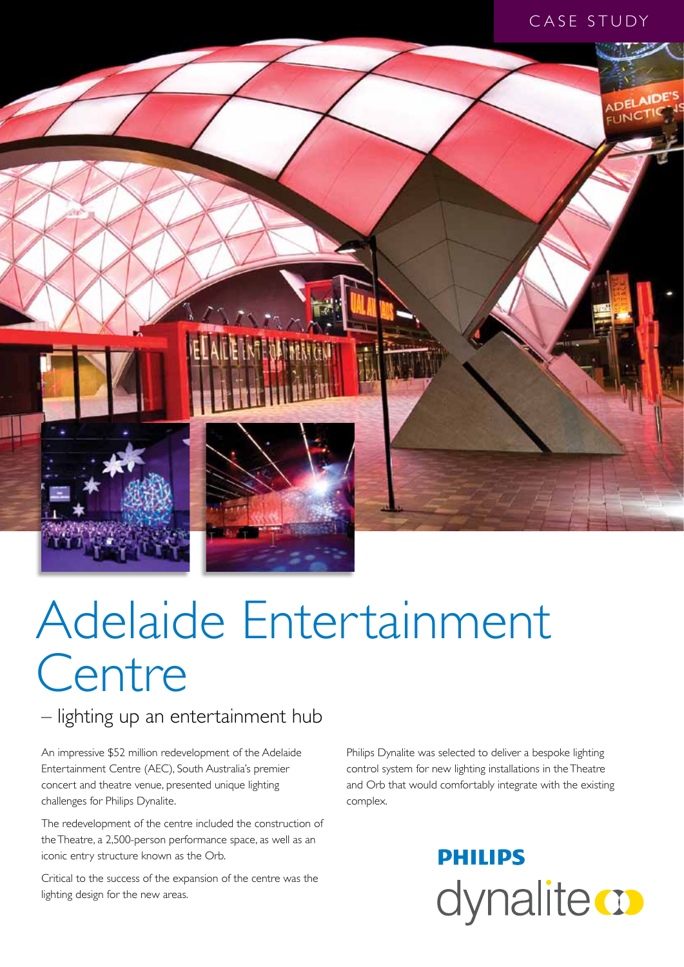#### CASE STUDY



# Adelaide Entertainment **Centre**

#### – lighting up an entertainment hub

An impressive \$52 million redevelopment of the Adelaide Entertainment Centre (AEC), South Australia's premier concert and theatre venue, presented unique lighting challenges for Philips Dynalite.

The redevelopment of the centre included the construction of the Theatre, a 2,500-person performance space, as well as an iconic entry structure known as the Orb.

Critical to the success of the expansion of the centre was the lighting design for the new areas.

Philips Dynalite was selected to deliver a bespoke lighting control system for new lighting installations in the Theatre and Orb that would comfortably integrate with the existing complex.

## **PHILIPS** dynalite **o**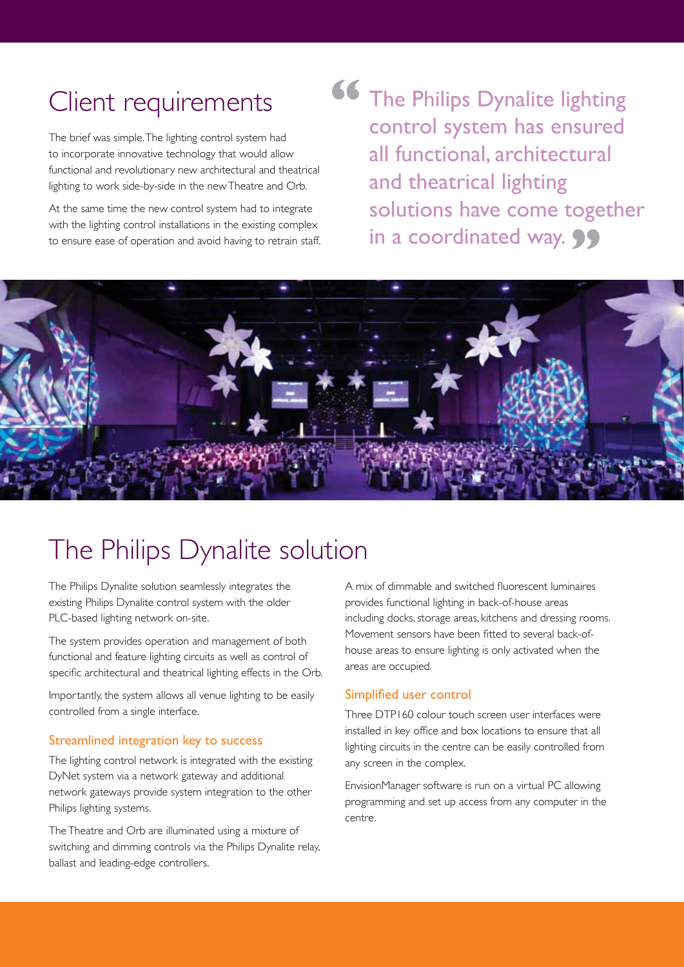## Client requirements

The brief was simple. The lighting control system had to incorporate innovative technology that would allow functional and revolutionary new architectural and theatrical lighting to work side-by-side in the new Theatre and Orb.

At the same time the new control system had to integrate with the lighting control installations in the existing complex to ensure ease of operation and avoid having to retrain staff. **66** The Philips Dynalite lighting control system has ensured all functional, architectural and theatrical lighting solutions have come together in a coordinated way. **99** 



### The Philips Dynalite solution

The Philips Dynalite solution seamlessly integrates the existing Philips Dynalite control system with the older PLC-based lighting network on-site.

The system provides operation and management of both functional and feature lighting circuits as well as control of specific architectural and theatrical lighting effects in the Orb.

Importantly, the system allows all venue lighting to be easily controlled from a single interface.

#### Streamlined integration key to success

The lighting control network is integrated with the existing DyNet system via a network gateway and additional network gateways provide system integration to the other Philips lighting systems.

The Theatre and Orb are illuminated using a mixture of switching and dimming controls via the Philips Dynalite relay, ballast and leading-edge controllers.

A mix of dimmable and switched fluorescent luminaires provides functional lighting in back-of-house areas including docks, storage areas, kitchens and dressing rooms. Movement sensors have been fitted to several back-ofhouse areas to ensure lighting is only activated when the areas are occupied.

#### Simplified user control

Three DTP160 colour touch screen user interfaces were installed in key office and box locations to ensure that all lighting circuits in the centre can be easily controlled from any screen in the complex.

EnvisionManager software is run on a virtual PC allowing programming and set up access from any computer in the centre.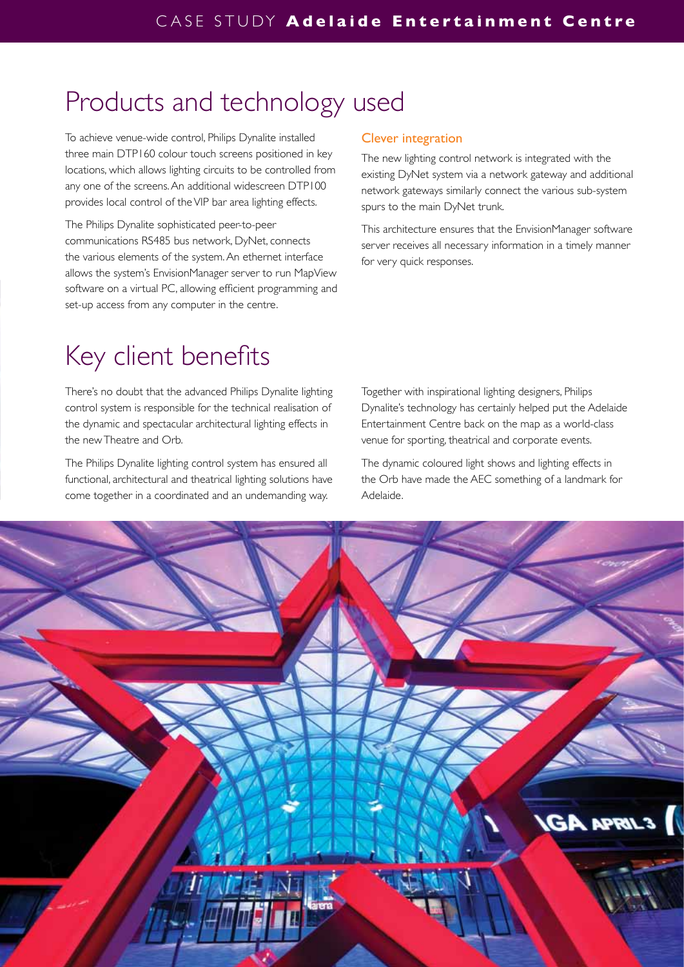## Products and technology used

To achieve venue-wide control, Philips Dynalite installed three main DTP160 colour touch screens positioned in key locations, which allows lighting circuits to be controlled from any one of the screens. An additional widescreen DTP100 provides local control of the VIP bar area lighting effects.

The Philips Dynalite sophisticated peer-to-peer communications RS485 bus network, DyNet, connects the various elements of the system. An ethernet interface allows the system's EnvisionManager server to run MapView software on a virtual PC, allowing efficient programming and set-up access from any computer in the centre.

#### Clever integration

The new lighting control network is integrated with the existing DyNet system via a network gateway and additional network gateways similarly connect the various sub-system spurs to the main DyNet trunk.

This architecture ensures that the EnvisionManager software server receives all necessary information in a timely manner for very quick responses.

## Key client benefits

There's no doubt that the advanced Philips Dynalite lighting control system is responsible for the technical realisation of the dynamic and spectacular architectural lighting effects in the new Theatre and Orb.

The Philips Dynalite lighting control system has ensured all functional, architectural and theatrical lighting solutions have come together in a coordinated and an undemanding way.

Together with inspirational lighting designers, Philips Dynalite's technology has certainly helped put the Adelaide Entertainment Centre back on the map as a world-class venue for sporting, theatrical and corporate events.

The dynamic coloured light shows and lighting effects in the Orb have made the AEC something of a landmark for Adelaide.